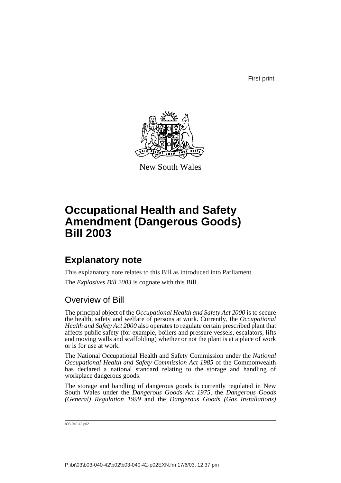First print



New South Wales

# **Occupational Health and Safety Amendment (Dangerous Goods) Bill 2003**

## **Explanatory note**

This explanatory note relates to this Bill as introduced into Parliament.

The *Explosives Bill 2003* is cognate with this Bill.

## Overview of Bill

The principal object of the *Occupational Health and Safety Act 2000* is to secure the health, safety and welfare of persons at work. Currently, the *Occupational Health and Safety Act 2000* also operates to regulate certain prescribed plant that affects public safety (for example, boilers and pressure vessels, escalators, lifts and moving walls and scaffolding) whether or not the plant is at a place of work or is for use at work.

The National Occupational Health and Safety Commission under the *National Occupational Health and Safety Commission Act 1985* of the Commonwealth has declared a national standard relating to the storage and handling of workplace dangerous goods.

The storage and handling of dangerous goods is currently regulated in New South Wales under the *Dangerous Goods Act 1975*, the *Dangerous Goods (General) Regulation 1999* and the *Dangerous Goods (Gas Installations)*

b03-040-42.p02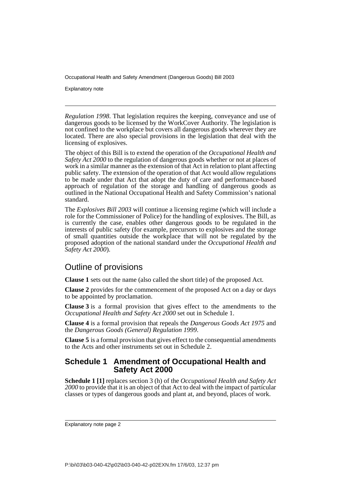Explanatory note

*Regulation 1998*. That legislation requires the keeping, conveyance and use of dangerous goods to be licensed by the WorkCover Authority. The legislation is not confined to the workplace but covers all dangerous goods wherever they are located. There are also special provisions in the legislation that deal with the licensing of explosives.

The object of this Bill is to extend the operation of the *Occupational Health and Safety Act 2000* to the regulation of dangerous goods whether or not at places of work in a similar manner as the extension of that Act in relation to plant affecting public safety. The extension of the operation of that Act would allow regulations to be made under that Act that adopt the duty of care and performance-based approach of regulation of the storage and handling of dangerous goods as outlined in the National Occupational Health and Safety Commission's national standard.

The *Explosives Bill 2003* will continue a licensing regime (which will include a role for the Commissioner of Police) for the handling of explosives. The Bill, as is currently the case, enables other dangerous goods to be regulated in the interests of public safety (for example, precursors to explosives and the storage of small quantities outside the workplace that will not be regulated by the proposed adoption of the national standard under the *Occupational Health and Safety Act 2000*).

### Outline of provisions

**Clause 1** sets out the name (also called the short title) of the proposed Act.

**Clause 2** provides for the commencement of the proposed Act on a day or days to be appointed by proclamation.

**Clause 3** is a formal provision that gives effect to the amendments to the *Occupational Health and Safety Act 2000* set out in Schedule 1.

**Clause 4** is a formal provision that repeals the *Dangerous Goods Act 1975* and the *Dangerous Goods (General) Regulation 1999*.

**Clause 5** is a formal provision that gives effect to the consequential amendments to the Acts and other instruments set out in Schedule 2.

#### **Schedule 1 Amendment of Occupational Health and Safety Act 2000**

**Schedule 1 [1]** replaces section 3 (h) of the *Occupational Health and Safety Act 2000* to provide that it is an object of that Act to deal with the impact of particular classes or types of dangerous goods and plant at, and beyond, places of work.

Explanatory note page 2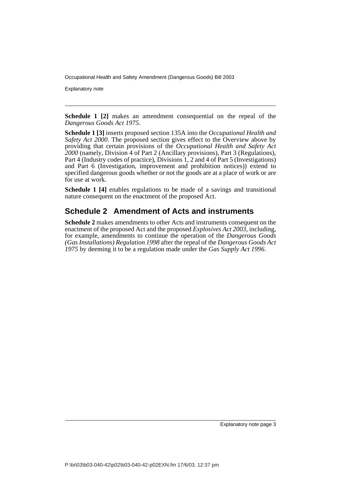Explanatory note

**Schedule 1 [2]** makes an amendment consequential on the repeal of the *Dangerous Goods Act 1975*.

**Schedule 1 [3]** inserts proposed section 135A into the *Occupational Health and Safety Act 2000*. The proposed section gives effect to the Overview above by providing that certain provisions of the *Occupational Health and Safety Act 2000* (namely, Division 4 of Part 2 (Ancillary provisions), Part 3 (Regulations), Part 4 (Industry codes of practice), Divisions 1, 2 and 4 of Part 5 (Investigations) and Part 6 (Investigation, improvement and prohibition notices)) extend to specified dangerous goods whether or not the goods are at a place of work or are for use at work.

**Schedule 1 [4]** enables regulations to be made of a savings and transitional nature consequent on the enactment of the proposed Act.

#### **Schedule 2 Amendment of Acts and instruments**

**Schedule 2** makes amendments to other Acts and instruments consequent on the enactment of the proposed Act and the proposed *Explosives Act 2003*, including, for example, amendments to continue the operation of the *Dangerous Goods (Gas Installations) Regulation 1998* after the repeal of the *Dangerous Goods Act 1975* by deeming it to be a regulation made under the *Gas Supply Act 1996*.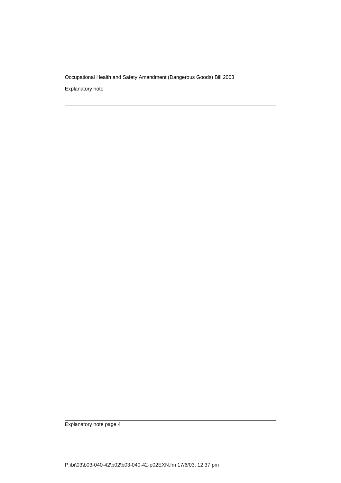Explanatory note

Explanatory note page 4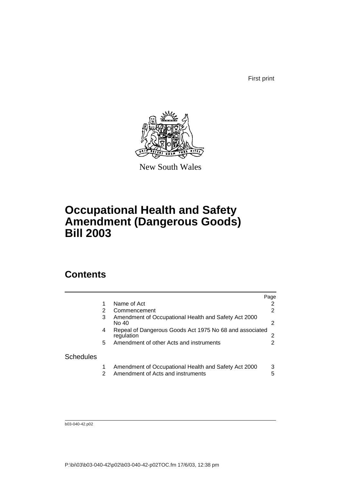First print



New South Wales

# **Occupational Health and Safety Amendment (Dangerous Goods) Bill 2003**

## **Contents**

|                  |    |                                                                                           | Page   |
|------------------|----|-------------------------------------------------------------------------------------------|--------|
|                  |    | Name of Act                                                                               | 2      |
|                  | 2  | Commencement                                                                              | 2      |
|                  | 3  | Amendment of Occupational Health and Safety Act 2000<br>No 40                             | 2      |
|                  | 4  | Repeal of Dangerous Goods Act 1975 No 68 and associated<br>regulation                     |        |
|                  | 5. | Amendment of other Acts and instruments                                                   |        |
| <b>Schedules</b> |    |                                                                                           |        |
|                  | 2  | Amendment of Occupational Health and Safety Act 2000<br>Amendment of Acts and instruments | 3<br>5 |

b03-040-42.p02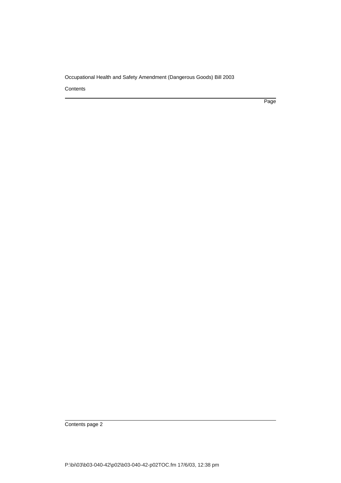**Contents** 

Page

Contents page 2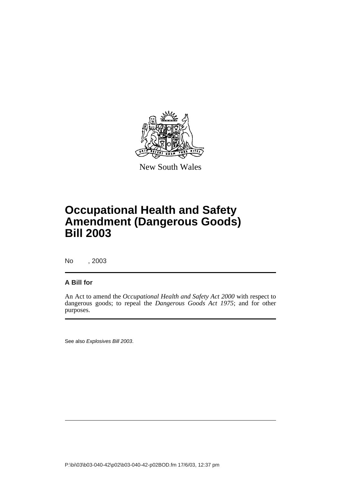

New South Wales

# **Occupational Health and Safety Amendment (Dangerous Goods) Bill 2003**

No , 2003

#### **A Bill for**

An Act to amend the *Occupational Health and Safety Act 2000* with respect to dangerous goods; to repeal the *Dangerous Goods Act 1975*; and for other purposes.

See also Explosives Bill 2003.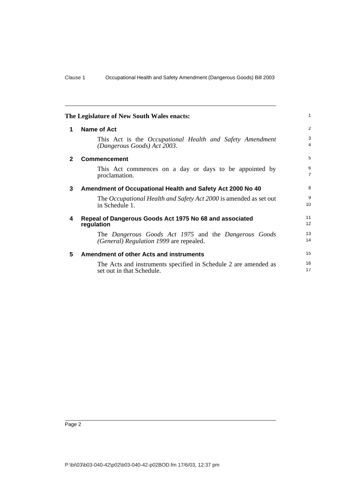<span id="page-7-4"></span><span id="page-7-3"></span><span id="page-7-2"></span><span id="page-7-1"></span><span id="page-7-0"></span>

|              | The Legislature of New South Wales enacts:                                                      | $\mathbf{1}$        |
|--------------|-------------------------------------------------------------------------------------------------|---------------------|
| 1            | <b>Name of Act</b>                                                                              | 2                   |
|              | This Act is the Occupational Health and Safety Amendment<br>(Dangerous Goods) Act 2003.         | 3<br>4              |
| $\mathbf{2}$ | <b>Commencement</b>                                                                             | 5                   |
|              | This Act commences on a day or days to be appointed by<br>proclamation.                         | 6<br>$\overline{7}$ |
| 3            | Amendment of Occupational Health and Safety Act 2000 No 40                                      | 8                   |
|              | The <i>Occupational Health and Safety Act 2000</i> is amended as set out<br>in Schedule 1.      | 9<br>10             |
| 4            | Repeal of Dangerous Goods Act 1975 No 68 and associated<br>regulation                           | 11<br>12            |
|              | The Dangerous Goods Act 1975 and the Dangerous Goods<br>(General) Regulation 1999 are repealed. | 13<br>14            |
| 5            | <b>Amendment of other Acts and instruments</b>                                                  | 15                  |
|              | The Acts and instruments specified in Schedule 2 are amended as<br>set out in that Schedule.    | 16<br>17            |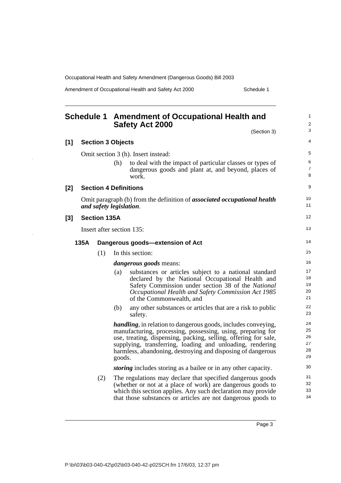Amendment of Occupational Health and Safety Act 2000 Schedule 1

<span id="page-8-0"></span>

|       |      |                     |                          | Schedule 1 Amendment of Occupational Health and<br><b>Safety Act 2000</b><br>(Section 3)                                                                                                                                                                                                                                            | 1<br>$\overline{\mathbf{c}}$<br>3 |
|-------|------|---------------------|--------------------------|-------------------------------------------------------------------------------------------------------------------------------------------------------------------------------------------------------------------------------------------------------------------------------------------------------------------------------------|-----------------------------------|
| $[1]$ |      |                     | <b>Section 3 Objects</b> |                                                                                                                                                                                                                                                                                                                                     | 4                                 |
|       |      |                     |                          |                                                                                                                                                                                                                                                                                                                                     |                                   |
|       |      |                     |                          | Omit section 3 (h). Insert instead:                                                                                                                                                                                                                                                                                                 | 5                                 |
|       |      |                     | (h)                      | to deal with the impact of particular classes or types of<br>dangerous goods and plant at, and beyond, places of<br>work.                                                                                                                                                                                                           | 6<br>7<br>8                       |
| [2]   |      |                     |                          | <b>Section 4 Definitions</b>                                                                                                                                                                                                                                                                                                        | 9                                 |
|       |      |                     | and safety legislation.  | Omit paragraph (b) from the definition of <i>associated occupational health</i>                                                                                                                                                                                                                                                     | 10<br>11                          |
| [3]   |      | <b>Section 135A</b> |                          |                                                                                                                                                                                                                                                                                                                                     | 12                                |
|       |      |                     |                          | Insert after section 135:                                                                                                                                                                                                                                                                                                           | 13                                |
|       | 135A |                     |                          | Dangerous goods-extension of Act                                                                                                                                                                                                                                                                                                    | 14                                |
|       |      | (1)                 |                          | In this section:                                                                                                                                                                                                                                                                                                                    | 15                                |
|       |      |                     |                          | <i>dangerous goods</i> means:                                                                                                                                                                                                                                                                                                       | 16                                |
|       |      |                     | (a)                      | substances or articles subject to a national standard<br>declared by the National Occupational Health and<br>Safety Commission under section 38 of the National<br>Occupational Health and Safety Commission Act 1985<br>of the Commonwealth, and                                                                                   | 17<br>18<br>19<br>20<br>21        |
|       |      |                     | (b)                      | any other substances or articles that are a risk to public<br>safety.                                                                                                                                                                                                                                                               | 22<br>23                          |
|       |      |                     | goods.                   | <i>handling</i> , in relation to dangerous goods, includes conveying,<br>manufacturing, processing, possessing, using, preparing for<br>use, treating, dispensing, packing, selling, offering for sale,<br>supplying, transferring, loading and unloading, rendering<br>harmless, abandoning, destroying and disposing of dangerous | 24<br>25<br>26<br>27<br>28<br>29  |
|       |      |                     |                          | <i>storing</i> includes storing as a bailee or in any other capacity.                                                                                                                                                                                                                                                               | 30                                |
|       |      | (2)                 |                          | The regulations may declare that specified dangerous goods<br>(whether or not at a place of work) are dangerous goods to<br>which this section applies. Any such declaration may provide<br>that those substances or articles are not dangerous goods to                                                                            | 31<br>32<br>33<br>34              |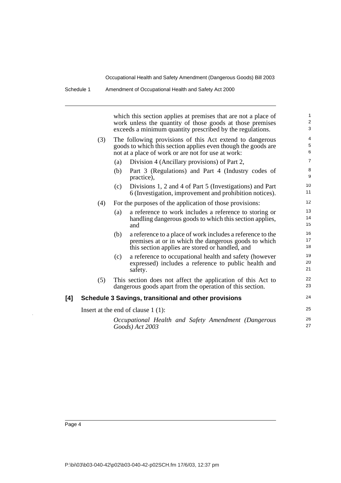Schedule 1 Amendment of Occupational Health and Safety Act 2000

which this section applies at premises that are not a place of work unless the quantity of those goods at those premises exceeds a minimum quantity prescribed by the regulations.

24

25 26 27

- (3) The following provisions of this Act extend to dangerous goods to which this section applies even though the goods are not at a place of work or are not for use at work:
	- (a) Division 4 (Ancillary provisions) of Part 2,
	- (b) Part 3 (Regulations) and Part 4 (Industry codes of practice),
	- (c) Divisions 1, 2 and 4 of Part 5 (Investigations) and Part 6 (Investigation, improvement and prohibition notices).
- (4) For the purposes of the application of those provisions:
	- (a) a reference to work includes a reference to storing or handling dangerous goods to which this section applies, and
	- (b) a reference to a place of work includes a reference to the premises at or in which the dangerous goods to which this section applies are stored or handled, and
	- (c) a reference to occupational health and safety (however expressed) includes a reference to public health and safety.
- (5) This section does not affect the application of this Act to dangerous goods apart from the operation of this section.

#### **[4] Schedule 3 Savings, transitional and other provisions**

Insert at the end of clause 1 (1):

*Occupational Health and Safety Amendment (Dangerous Goods) Act 2003*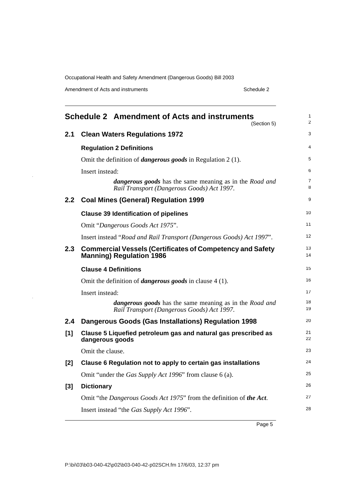Amendment of Acts and instruments Schedule 2

<span id="page-10-0"></span>

| Schedule 2 Amendment of Acts and instruments<br>$\mathbf{1}$<br>$\overline{2}$<br>(Section 5) |                                                                                                                     |                     |  |  |
|-----------------------------------------------------------------------------------------------|---------------------------------------------------------------------------------------------------------------------|---------------------|--|--|
| 2.1                                                                                           | <b>Clean Waters Regulations 1972</b>                                                                                | 3                   |  |  |
|                                                                                               | <b>Regulation 2 Definitions</b>                                                                                     | 4                   |  |  |
|                                                                                               | Omit the definition of <i>dangerous goods</i> in Regulation $2(1)$ .                                                | 5                   |  |  |
|                                                                                               | Insert instead:                                                                                                     | 6                   |  |  |
|                                                                                               | dangerous goods has the same meaning as in the Road and<br>Rail Transport (Dangerous Goods) Act 1997.               | $\overline{7}$<br>8 |  |  |
| $2.2\phantom{0}$                                                                              | <b>Coal Mines (General) Regulation 1999</b>                                                                         | 9                   |  |  |
|                                                                                               | <b>Clause 39 Identification of pipelines</b>                                                                        | 10                  |  |  |
|                                                                                               | Omit "Dangerous Goods Act 1975".                                                                                    | 11                  |  |  |
|                                                                                               | Insert instead "Road and Rail Transport (Dangerous Goods) Act 1997".                                                | 12 <sup>2</sup>     |  |  |
| 2.3                                                                                           | <b>Commercial Vessels (Certificates of Competency and Safety</b><br><b>Manning) Regulation 1986</b>                 | 13<br>14            |  |  |
|                                                                                               | <b>Clause 4 Definitions</b>                                                                                         | 15                  |  |  |
|                                                                                               | Omit the definition of <i>dangerous</i> goods in clause $4(1)$ .                                                    | 16                  |  |  |
|                                                                                               | Insert instead:                                                                                                     | 17                  |  |  |
|                                                                                               | <i>dangerous goods</i> has the same meaning as in the <i>Road and</i><br>Rail Transport (Dangerous Goods) Act 1997. | 18<br>19            |  |  |
| 2.4                                                                                           | Dangerous Goods (Gas Installations) Regulation 1998                                                                 | 20                  |  |  |
| [1]                                                                                           | Clause 5 Liquefied petroleum gas and natural gas prescribed as<br>dangerous goods                                   | 21<br>22            |  |  |
|                                                                                               | Omit the clause.                                                                                                    | 23                  |  |  |
| [2]                                                                                           | Clause 6 Regulation not to apply to certain gas installations                                                       | 24                  |  |  |
|                                                                                               | Omit "under the <i>Gas Supply Act 1996</i> " from clause 6 (a).                                                     | 25                  |  |  |
| $[3]$                                                                                         | <b>Dictionary</b>                                                                                                   | 26                  |  |  |
|                                                                                               | Omit "the Dangerous Goods Act 1975" from the definition of the Act.                                                 | 27                  |  |  |
|                                                                                               | Insert instead "the Gas Supply Act 1996".                                                                           | 28                  |  |  |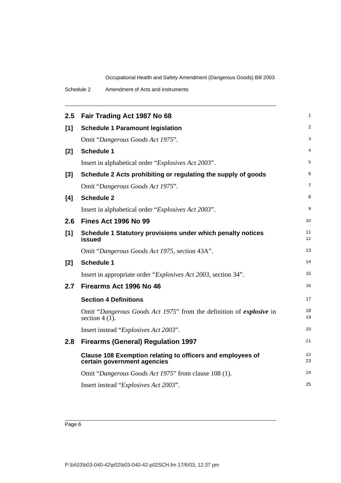|       |                                                                                           | 1        |
|-------|-------------------------------------------------------------------------------------------|----------|
| 2.5   | Fair Trading Act 1987 No 68                                                               |          |
| [1]   | <b>Schedule 1 Paramount legislation</b>                                                   | 2        |
|       | Omit "Dangerous Goods Act 1975".                                                          | 3        |
| $[2]$ | <b>Schedule 1</b>                                                                         | 4        |
|       | Insert in alphabetical order "Explosives Act 2003".                                       | 5        |
| $[3]$ | Schedule 2 Acts prohibiting or regulating the supply of goods                             | 6        |
|       | Omit "Dangerous Goods Act 1975".                                                          | 7        |
| [4]   | <b>Schedule 2</b>                                                                         | 8        |
|       | Insert in alphabetical order " <i>Explosives Act 2003</i> ".                              | 9        |
| 2.6   | <b>Fines Act 1996 No 99</b>                                                               | 10       |
| [1]   | Schedule 1 Statutory provisions under which penalty notices<br>issued                     | 11<br>12 |
|       | Omit "Dangerous Goods Act 1975, section 43A".                                             | 13       |
| [2]   | <b>Schedule 1</b>                                                                         | 14       |
|       | Insert in appropriate order " <i>Explosives Act 2003</i> , section 34".                   | 15       |
| 2.7   | Firearms Act 1996 No 46                                                                   | 16       |
|       | <b>Section 4 Definitions</b>                                                              | 17       |
|       | Omit "Dangerous Goods Act 1975" from the definition of explosive in<br>section 4 $(1)$ .  | 18<br>19 |
|       | Insert instead "Explosives Act 2003".                                                     | 20       |
| 2.8   | <b>Firearms (General) Regulation 1997</b>                                                 | 21       |
|       | Clause 108 Exemption relating to officers and employees of<br>certain government agencies | 22<br>23 |
|       | Omit "Dangerous Goods Act 1975" from clause 108 (1).                                      | 24       |
|       | Insert instead "Explosives Act 2003".                                                     | 25       |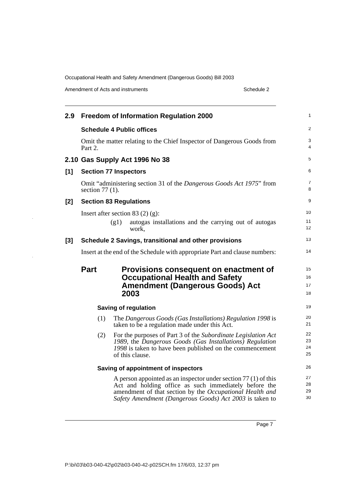J.

l,

| Amendment of Acts and instruments | Schedule 2 |
|-----------------------------------|------------|
|                                   |            |

| 2.9   |                   | <b>Freedom of Information Regulation 2000</b>                                                                                                                                                                                                    | $\mathbf{1}$         |
|-------|-------------------|--------------------------------------------------------------------------------------------------------------------------------------------------------------------------------------------------------------------------------------------------|----------------------|
|       |                   | <b>Schedule 4 Public offices</b>                                                                                                                                                                                                                 | 2                    |
|       | Part 2.           | Omit the matter relating to the Chief Inspector of Dangerous Goods from                                                                                                                                                                          | 3<br>$\overline{4}$  |
|       |                   | 2.10 Gas Supply Act 1996 No 38                                                                                                                                                                                                                   | 5                    |
| $[1]$ |                   | <b>Section 77 Inspectors</b>                                                                                                                                                                                                                     | 6                    |
|       | section $77(1)$ . | Omit "administering section 31 of the <i>Dangerous Goods Act 1975</i> " from                                                                                                                                                                     | $\overline{7}$<br>8  |
| $[2]$ |                   | <b>Section 83 Regulations</b>                                                                                                                                                                                                                    | 9                    |
|       |                   | Insert after section 83 $(2)$ (g):                                                                                                                                                                                                               | 10                   |
|       |                   | autogas installations and the carrying out of autogas<br>(g1)<br>work,                                                                                                                                                                           | 11<br>12             |
| $[3]$ |                   | <b>Schedule 2 Savings, transitional and other provisions</b>                                                                                                                                                                                     | 13                   |
|       |                   | Insert at the end of the Schedule with appropriate Part and clause numbers:                                                                                                                                                                      | 14                   |
|       | <b>Part</b>       | Provisions consequent on enactment of<br><b>Occupational Health and Safety</b><br><b>Amendment (Dangerous Goods) Act</b><br>2003                                                                                                                 | 15<br>16<br>17<br>18 |
|       |                   | <b>Saving of regulation</b>                                                                                                                                                                                                                      | 19                   |
|       | (1)               | The Dangerous Goods (Gas Installations) Regulation 1998 is<br>taken to be a regulation made under this Act.                                                                                                                                      | 20<br>21             |
|       | (2)               | For the purposes of Part 3 of the Subordinate Legislation Act<br>1989, the Dangerous Goods (Gas Installations) Regulation<br>1998 is taken to have been published on the commencement<br>of this clause.                                         | 22<br>23<br>24<br>25 |
|       |                   | Saving of appointment of inspectors                                                                                                                                                                                                              | 26                   |
|       |                   | A person appointed as an inspector under section $77(1)$ of this<br>Act and holding office as such immediately before the<br>amendment of that section by the Occupational Health and<br>Safety Amendment (Dangerous Goods) Act 2003 is taken to | 27<br>28<br>29<br>30 |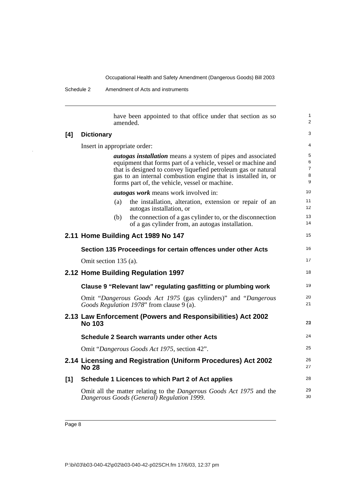|       |                              | amended. | have been appointed to that office under that section as so                                                                                                                                                                                                                                                             | $\mathbf{1}$<br>$\overline{2}$     |
|-------|------------------------------|----------|-------------------------------------------------------------------------------------------------------------------------------------------------------------------------------------------------------------------------------------------------------------------------------------------------------------------------|------------------------------------|
| [4]   | <b>Dictionary</b>            |          |                                                                                                                                                                                                                                                                                                                         | 3                                  |
|       | Insert in appropriate order: |          |                                                                                                                                                                                                                                                                                                                         | 4                                  |
|       |                              |          | <i>autogas installation</i> means a system of pipes and associated<br>equipment that forms part of a vehicle, vessel or machine and<br>that is designed to convey liquefied petroleum gas or natural<br>gas to an internal combustion engine that is installed in, or<br>forms part of, the vehicle, vessel or machine. | 5<br>6<br>$\overline{7}$<br>8<br>9 |
|       |                              |          | <i>autogas work</i> means work involved in:                                                                                                                                                                                                                                                                             | 10                                 |
|       |                              | (a)      | the installation, alteration, extension or repair of an<br>autogas installation, or                                                                                                                                                                                                                                     | 11<br>12 <sup>2</sup>              |
|       |                              | (b)      | the connection of a gas cylinder to, or the disconnection<br>of a gas cylinder from, an autogas installation.                                                                                                                                                                                                           | 13<br>14                           |
|       |                              |          | 2.11 Home Building Act 1989 No 147                                                                                                                                                                                                                                                                                      | 15                                 |
|       |                              |          | Section 135 Proceedings for certain offences under other Acts                                                                                                                                                                                                                                                           | 16                                 |
|       | Omit section 135 (a).        |          |                                                                                                                                                                                                                                                                                                                         | 17                                 |
|       |                              |          | 2.12 Home Building Regulation 1997                                                                                                                                                                                                                                                                                      | 18                                 |
|       |                              |          | Clause 9 "Relevant law" regulating gasfitting or plumbing work                                                                                                                                                                                                                                                          | 19                                 |
|       |                              |          | Omit "Dangerous Goods Act 1975 (gas cylinders)" and "Dangerous<br>Goods Regulation 1978" from clause 9 (a).                                                                                                                                                                                                             | 20<br>21                           |
|       | <b>No 103</b>                |          | 2.13 Law Enforcement (Powers and Responsibilities) Act 2002                                                                                                                                                                                                                                                             | 23                                 |
|       |                              |          | Schedule 2 Search warrants under other Acts                                                                                                                                                                                                                                                                             | 24                                 |
|       |                              |          | Omit "Dangerous Goods Act 1975, section 42".                                                                                                                                                                                                                                                                            | 25                                 |
|       | <b>No 28</b>                 |          | 2.14 Licensing and Registration (Uniform Procedures) Act 2002                                                                                                                                                                                                                                                           | 26<br>27                           |
| $[1]$ |                              |          | Schedule 1 Licences to which Part 2 of Act applies                                                                                                                                                                                                                                                                      | 28                                 |
|       |                              |          | Omit all the matter relating to the <i>Dangerous Goods Act 1975</i> and the<br>Dangerous Goods (General) Regulation 1999.                                                                                                                                                                                               | 29<br>30                           |
|       |                              |          |                                                                                                                                                                                                                                                                                                                         |                                    |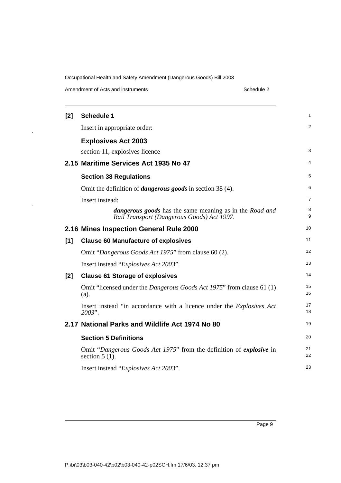$\frac{1}{2}$ 

| Amendment of Acts and instruments | Schedule 2 |
|-----------------------------------|------------|
|                                   |            |

| [2]   | <b>Schedule 1</b>                                                                                                   | 1              |
|-------|---------------------------------------------------------------------------------------------------------------------|----------------|
|       | Insert in appropriate order:                                                                                        | $\overline{2}$ |
|       | <b>Explosives Act 2003</b>                                                                                          |                |
|       | section 11, explosives licence                                                                                      | 3              |
|       | 2.15 Maritime Services Act 1935 No 47                                                                               | 4              |
|       | <b>Section 38 Regulations</b>                                                                                       | 5              |
|       | Omit the definition of <i>dangerous goods</i> in section 38 (4).                                                    | 6              |
|       | Insert instead:                                                                                                     | 7              |
|       | <i>dangerous goods</i> has the same meaning as in the <i>Road and</i><br>Rail Transport (Dangerous Goods) Act 1997. | 8<br>9         |
|       | 2.16 Mines Inspection General Rule 2000                                                                             | 10             |
| $[1]$ | <b>Clause 60 Manufacture of explosives</b>                                                                          | 11             |
|       | Omit "Dangerous Goods Act 1975" from clause 60 (2).                                                                 | 12             |
|       | Insert instead "Explosives Act 2003".                                                                               | 13             |
| [2]   | <b>Clause 61 Storage of explosives</b>                                                                              | 14             |
|       | Omit "licensed under the <i>Dangerous Goods Act 1975</i> " from clause 61 (1)<br>(a).                               | 15<br>16       |
|       | Insert instead "in accordance with a licence under the <i>Explosives Act</i><br>2003".                              | 17<br>18       |
|       | 2.17 National Parks and Wildlife Act 1974 No 80                                                                     | 19             |
|       | <b>Section 5 Definitions</b>                                                                                        | 20             |
|       | Omit "Dangerous Goods Act 1975" from the definition of explosive in<br>section $5(1)$ .                             | 21<br>22       |
|       | Insert instead "Explosives Act 2003".                                                                               | 23             |
|       |                                                                                                                     |                |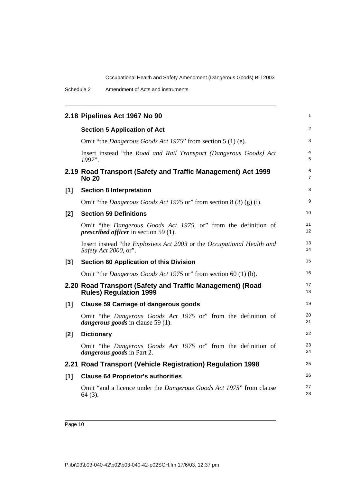|       | 2.18 Pipelines Act 1967 No 90                                                                                          | $\mathbf{1}$        |
|-------|------------------------------------------------------------------------------------------------------------------------|---------------------|
|       | <b>Section 5 Application of Act</b>                                                                                    | 2                   |
|       | Omit "the <i>Dangerous Goods Act 1975</i> " from section 5 (1) (e).                                                    | 3                   |
|       | Insert instead "the Road and Rail Transport (Dangerous Goods) Act<br>1997".                                            | 4<br>5              |
|       | 2.19 Road Transport (Safety and Traffic Management) Act 1999<br><b>No 20</b>                                           | 6<br>$\overline{7}$ |
| $[1]$ | <b>Section 8 Interpretation</b>                                                                                        | 8                   |
|       | Omit "the <i>Dangerous Goods Act 1975</i> or" from section $8(3)(g)(i)$ .                                              | 9                   |
| [2]   | <b>Section 59 Definitions</b>                                                                                          | 10                  |
|       | Omit "the <i>Dangerous Goods Act 1975</i> , or" from the definition of<br><i>prescribed officer</i> in section 59 (1). | 11<br>12            |
|       | Insert instead "the <i>Explosives Act 2003</i> or the <i>Occupational Health and</i><br>Safety Act 2000, or".          | 13<br>14            |
| $[3]$ | <b>Section 60 Application of this Division</b>                                                                         | 15                  |
|       | Omit "the <i>Dangerous Goods Act 1975</i> or" from section 60 (1) (b).                                                 | 16                  |
|       | 2.20 Road Transport (Safety and Traffic Management) (Road<br><b>Rules) Regulation 1999</b>                             | 17<br>18            |
| $[1]$ | <b>Clause 59 Carriage of dangerous goods</b>                                                                           | 19                  |
|       | Omit "the <i>Dangerous Goods Act 1975</i> or" from the definition of<br>dangerous goods in clause 59 (1).              | 20<br>21            |
| [2]   | <b>Dictionary</b>                                                                                                      | 22                  |
|       | Omit "the <i>Dangerous Goods Act 1975</i> or" from the definition of<br><i>dangerous goods</i> in Part 2.              | 23<br>24            |
|       | 2.21 Road Transport (Vehicle Registration) Regulation 1998                                                             | 25                  |
| [1]   | <b>Clause 64 Proprietor's authorities</b>                                                                              | 26                  |
|       | Omit "and a licence under the <i>Dangerous Goods Act 1975</i> " from clause<br>$64(3)$ .                               | 27<br>28            |